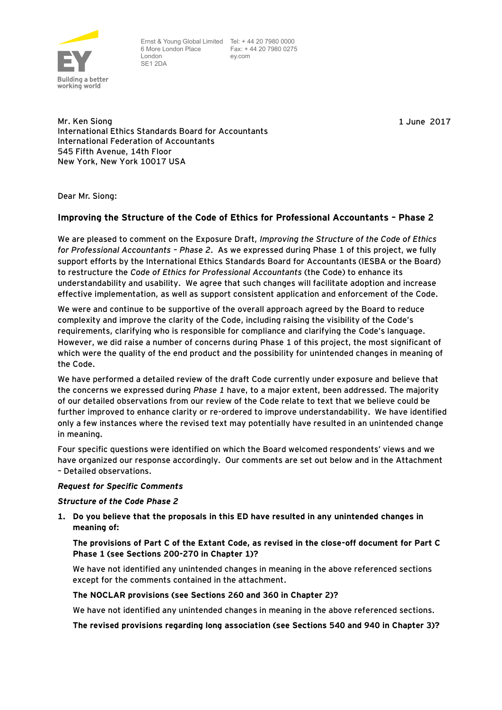

Ernst & Young Global Limited Tel: + 44 20 7980 0000 6 More London Place London SE1 2DA

 Fax: + 44 20 7980 0275 ey.com

1 June 2017

Mr. Ken Siong International Ethics Standards Board for Accountants International Federation of Accountants 545 Fifth Avenue, 14th Floor New York, New York 10017 USA

Dear Mr. Siong:

# **Improving the Structure of the Code of Ethics for Professional Accountants – Phase 2**

We are pleased to comment on the Exposure Draft, *Improving the Structure of the Code of Ethics for Professional Accountants – Phase 2.* As we expressed during Phase 1 of this project, we fully support efforts by the International Ethics Standards Board for Accountants (IESBA or the Board) to restructure the *Code of Ethics for Professional Accountants* (the Code) to enhance its understandability and usability. We agree that such changes will facilitate adoption and increase effective implementation, as well as support consistent application and enforcement of the Code.

We were and continue to be supportive of the overall approach agreed by the Board to reduce complexity and improve the clarity of the Code, including raising the visibility of the Code's requirements, clarifying who is responsible for compliance and clarifying the Code's language. However, we did raise a number of concerns during Phase 1 of this project, the most significant of which were the quality of the end product and the possibility for unintended changes in meaning of the Code.

We have performed a detailed review of the draft Code currently under exposure and believe that the concerns we expressed during *Phase 1* have, to a major extent, been addressed. The majority of our detailed observations from our review of the Code relate to text that we believe could be further improved to enhance clarity or re-ordered to improve understandability. We have identified only a few instances where the revised text may potentially have resulted in an unintended change in meaning.

Four specific questions were identified on which the Board welcomed respondents' views and we have organized our response accordingly. Our comments are set out below and in the Attachment – Detailed observations.

# *Request for Specific Comments*

# *Structure of the Code Phase 2*

**1. Do you believe that the proposals in this ED have resulted in any unintended changes in meaning of:**

**The provisions of Part C of the Extant Code, as revised in the close-off document for Part C Phase 1 (see Sections 200-270 in Chapter 1)?**

We have not identified any unintended changes in meaning in the above referenced sections except for the comments contained in the attachment.

# **The NOCLAR provisions (see Sections 260 and 360 in Chapter 2)?**

We have not identified any unintended changes in meaning in the above referenced sections.

**The revised provisions regarding long association (see Sections 540 and 940 in Chapter 3)?**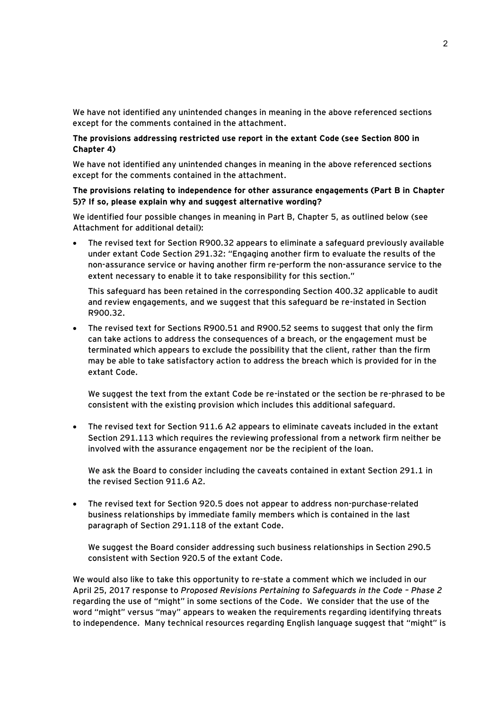We have not identified any unintended changes in meaning in the above referenced sections except for the comments contained in the attachment.

# **The provisions addressing restricted use report in the extant Code (see Section 800 in Chapter 4)**

We have not identified any unintended changes in meaning in the above referenced sections except for the comments contained in the attachment.

#### **The provisions relating to independence for other assurance engagements (Part B in Chapter 5)? If so, please explain why and suggest alternative wording?**

We identified four possible changes in meaning in Part B, Chapter 5, as outlined below (see Attachment for additional detail):

 The revised text for Section R900.32 appears to eliminate a safeguard previously available under extant Code Section 291.32: "Engaging another firm to evaluate the results of the non-assurance service or having another firm re-perform the non-assurance service to the extent necessary to enable it to take responsibility for this section."

This safeguard has been retained in the corresponding Section 400.32 applicable to audit and review engagements, and we suggest that this safeguard be re-instated in Section R900.32.

 The revised text for Sections R900.51 and R900.52 seems to suggest that only the firm can take actions to address the consequences of a breach, or the engagement must be terminated which appears to exclude the possibility that the client, rather than the firm may be able to take satisfactory action to address the breach which is provided for in the extant Code.

We suggest the text from the extant Code be re-instated or the section be re-phrased to be consistent with the existing provision which includes this additional safeguard.

 The revised text for Section 911.6 A2 appears to eliminate caveats included in the extant Section 291.113 which requires the reviewing professional from a network firm neither be involved with the assurance engagement nor be the recipient of the loan.

We ask the Board to consider including the caveats contained in extant Section 291.1 in the revised Section 911.6 A2.

 The revised text for Section 920.5 does not appear to address non-purchase-related business relationships by immediate family members which is contained in the last paragraph of Section 291.118 of the extant Code.

We suggest the Board consider addressing such business relationships in Section 290.5 consistent with Section 920.5 of the extant Code.

We would also like to take this opportunity to re-state a comment which we included in our April 25, 2017 response to *Proposed Revisions Pertaining to Safeguards in the Code – Phase 2* regarding the use of "might" in some sections of the Code. We consider that the use of the word "might" versus "may" appears to weaken the requirements regarding identifying threats to independence. Many technical resources regarding English language suggest that "might" is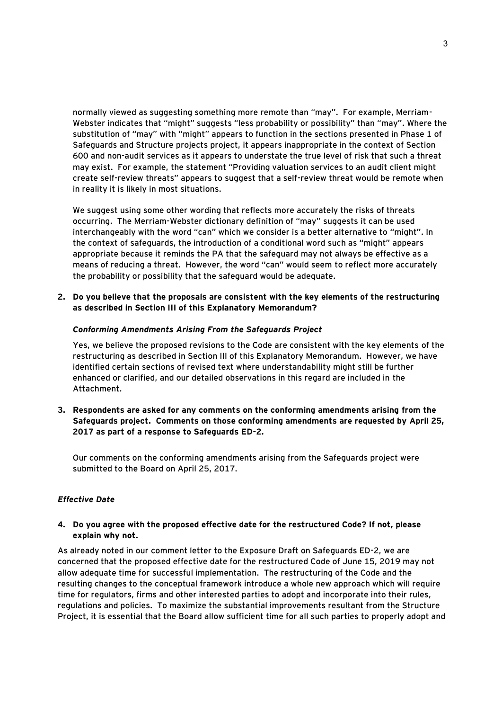normally viewed as suggesting something more remote than "may". For example, Merriam-Webster indicates that "might" suggests "less probability or possibility" than "may". Where the substitution of "may" with "might" appears to function in the sections presented in Phase 1 of Safeguards and Structure projects project, it appears inappropriate in the context of Section 600 and non-audit services as it appears to understate the true level of risk that such a threat may exist. For example, the statement "Providing valuation services to an audit client might create self-review threats" appears to suggest that a self-review threat would be remote when in reality it is likely in most situations.

We suggest using some other wording that reflects more accurately the risks of threats occurring. The Merriam-Webster dictionary definition of "may" suggests it can be used interchangeably with the word "can" which we consider is a better alternative to "might". In the context of safeguards, the introduction of a conditional word such as "might" appears appropriate because it reminds the PA that the safeguard may not always be effective as a means of reducing a threat. However, the word "can" would seem to reflect more accurately the probability or possibility that the safeguard would be adequate.

**2. Do you believe that the proposals are consistent with the key elements of the restructuring as described in Section III of this Explanatory Memorandum?**

#### *Conforming Amendments Arising From the Safeguards Project*

Yes, we believe the proposed revisions to the Code are consistent with the key elements of the restructuring as described in Section III of this Explanatory Memorandum. However, we have identified certain sections of revised text where understandability might still be further enhanced or clarified, and our detailed observations in this regard are included in the Attachment.

**3. Respondents are asked for any comments on the conforming amendments arising from the Safeguards project. Comments on those conforming amendments are requested by April 25, 2017 as part of a response to Safeguards ED-2.** 

Our comments on the conforming amendments arising from the Safeguards project were submitted to the Board on April 25, 2017.

# *Effective Date*

# **4. Do you agree with the proposed effective date for the restructured Code? If not, please explain why not.**

As already noted in our comment letter to the Exposure Draft on Safeguards ED-2, we are concerned that the proposed effective date for the restructured Code of June 15, 2019 may not allow adequate time for successful implementation. The restructuring of the Code and the resulting changes to the conceptual framework introduce a whole new approach which will require time for regulators, firms and other interested parties to adopt and incorporate into their rules, regulations and policies. To maximize the substantial improvements resultant from the Structure Project, it is essential that the Board allow sufficient time for all such parties to properly adopt and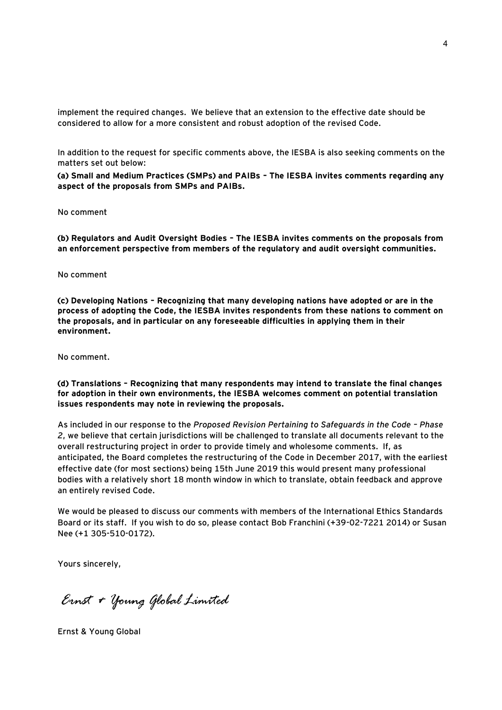implement the required changes. We believe that an extension to the effective date should be considered to allow for a more consistent and robust adoption of the revised Code.

In addition to the request for specific comments above, the IESBA is also seeking comments on the matters set out below:

**(a) Small and Medium Practices (SMPs) and PAIBs – The IESBA invites comments regarding any aspect of the proposals from SMPs and PAIBs.** 

No comment

**(b) Regulators and Audit Oversight Bodies – The IESBA invites comments on the proposals from an enforcement perspective from members of the regulatory and audit oversight communities.** 

No comment

**(c) Developing Nations – Recognizing that many developing nations have adopted or are in the process of adopting the Code, the IESBA invites respondents from these nations to comment on the proposals, and in particular on any foreseeable difficulties in applying them in their environment.** 

No comment.

**(d) Translations – Recognizing that many respondents may intend to translate the final changes for adoption in their own environments, the IESBA welcomes comment on potential translation issues respondents may note in reviewing the proposals.**

As included in our response to the *Proposed Revision Pertaining to Safeguards in the Code – Phase 2*, we believe that certain jurisdictions will be challenged to translate all documents relevant to the overall restructuring project in order to provide timely and wholesome comments. If, as anticipated, the Board completes the restructuring of the Code in December 2017, with the earliest effective date (for most sections) being 15th June 2019 this would present many professional bodies with a relatively short 18 month window in which to translate, obtain feedback and approve an entirely revised Code.

We would be pleased to discuss our comments with members of the International Ethics Standards Board or its staff. If you wish to do so, please contact Bob Franchini (+39-02-7221 2014) or Susan Nee (+1 305-510-0172).

Yours sincerely,

Ernst + Young Global Limited

Ernst & Young Global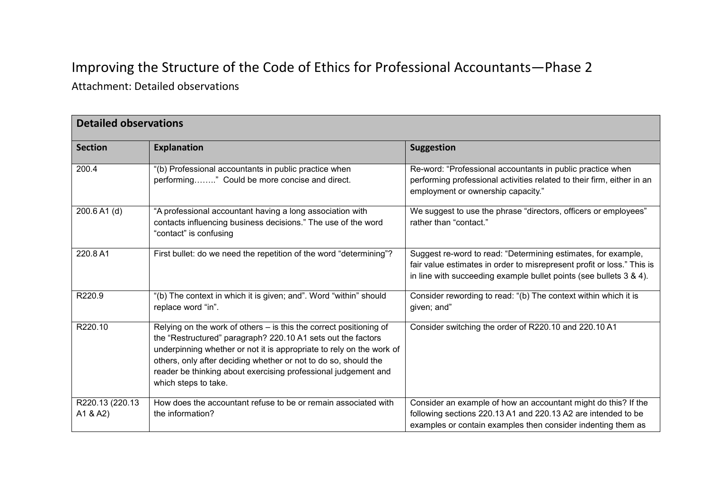# Improving the Structure of the Code of Ethics for Professional Accountants—Phase 2

Attachment: Detailed observations

| <b>Detailed observations</b> |                                                                                                                                                                                                                                                                                                                                                                         |                                                                                                                                                                                                               |
|------------------------------|-------------------------------------------------------------------------------------------------------------------------------------------------------------------------------------------------------------------------------------------------------------------------------------------------------------------------------------------------------------------------|---------------------------------------------------------------------------------------------------------------------------------------------------------------------------------------------------------------|
| <b>Section</b>               | <b>Explanation</b>                                                                                                                                                                                                                                                                                                                                                      | <b>Suggestion</b>                                                                                                                                                                                             |
| 200.4                        | "(b) Professional accountants in public practice when<br>performing" Could be more concise and direct.                                                                                                                                                                                                                                                                  | Re-word: "Professional accountants in public practice when<br>performing professional activities related to their firm, either in an<br>employment or ownership capacity."                                    |
| 200.6 A1 (d)                 | "A professional accountant having a long association with<br>contacts influencing business decisions." The use of the word<br>"contact" is confusing                                                                                                                                                                                                                    | We suggest to use the phrase "directors, officers or employees"<br>rather than "contact."                                                                                                                     |
| 220.8 A1                     | First bullet: do we need the repetition of the word "determining"?                                                                                                                                                                                                                                                                                                      | Suggest re-word to read: "Determining estimates, for example,<br>fair value estimates in order to misrepresent profit or loss." This is<br>in line with succeeding example bullet points (see bullets 3 & 4). |
| R220.9                       | "(b) The context in which it is given; and". Word "within" should<br>replace word "in".                                                                                                                                                                                                                                                                                 | Consider rewording to read: "(b) The context within which it is<br>given; and"                                                                                                                                |
| R220.10                      | Relying on the work of others - is this the correct positioning of<br>the "Restructured" paragraph? 220.10 A1 sets out the factors<br>underpinning whether or not it is appropriate to rely on the work of<br>others, only after deciding whether or not to do so, should the<br>reader be thinking about exercising professional judgement and<br>which steps to take. | Consider switching the order of R220.10 and 220.10 A1                                                                                                                                                         |
| R220.13 (220.13)<br>A1 & A2) | How does the accountant refuse to be or remain associated with<br>the information?                                                                                                                                                                                                                                                                                      | Consider an example of how an accountant might do this? If the<br>following sections 220.13 A1 and 220.13 A2 are intended to be<br>examples or contain examples then consider indenting them as               |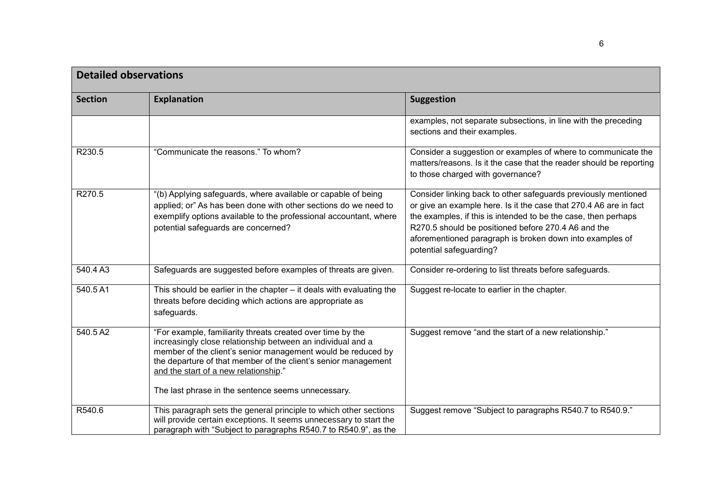| <b>Detailed observations</b> |                                                                                                                                                                                                                                                                                                                                                            |                                                                                                                                                                                                                                                                                                                                                     |
|------------------------------|------------------------------------------------------------------------------------------------------------------------------------------------------------------------------------------------------------------------------------------------------------------------------------------------------------------------------------------------------------|-----------------------------------------------------------------------------------------------------------------------------------------------------------------------------------------------------------------------------------------------------------------------------------------------------------------------------------------------------|
| <b>Section</b>               | <b>Explanation</b>                                                                                                                                                                                                                                                                                                                                         | <b>Suggestion</b>                                                                                                                                                                                                                                                                                                                                   |
|                              |                                                                                                                                                                                                                                                                                                                                                            | examples, not separate subsections, in line with the preceding<br>sections and their examples.                                                                                                                                                                                                                                                      |
| R230.5                       | "Communicate the reasons." To whom?                                                                                                                                                                                                                                                                                                                        | Consider a suggestion or examples of where to communicate the<br>matters/reasons. Is it the case that the reader should be reporting<br>to those charged with governance?                                                                                                                                                                           |
| R270.5                       | "(b) Applying safeguards, where available or capable of being<br>applied; or" As has been done with other sections do we need to<br>exemplify options available to the professional accountant, where<br>potential safeguards are concerned?                                                                                                               | Consider linking back to other safeguards previously mentioned<br>or give an example here. Is it the case that 270.4 A6 are in fact<br>the examples, if this is intended to be the case, then perhaps<br>R270.5 should be positioned before 270.4 A6 and the<br>aforementioned paragraph is broken down into examples of<br>potential safeguarding? |
| 540.4 A3                     | Safeguards are suggested before examples of threats are given.                                                                                                                                                                                                                                                                                             | Consider re-ordering to list threats before safeguards.                                                                                                                                                                                                                                                                                             |
| 540.5 A1                     | This should be earlier in the chapter $-$ it deals with evaluating the<br>threats before deciding which actions are appropriate as<br>safeguards.                                                                                                                                                                                                          | Suggest re-locate to earlier in the chapter.                                                                                                                                                                                                                                                                                                        |
| 540.5 A2                     | "For example, familiarity threats created over time by the<br>increasingly close relationship between an individual and a<br>member of the client's senior management would be reduced by<br>the departure of that member of the client's senior management<br>and the start of a new relationship."<br>The last phrase in the sentence seems unnecessary. | Suggest remove "and the start of a new relationship."                                                                                                                                                                                                                                                                                               |
| R540.6                       | This paragraph sets the general principle to which other sections<br>will provide certain exceptions. It seems unnecessary to start the<br>paragraph with "Subject to paragraphs R540.7 to R540.9", as the                                                                                                                                                 | Suggest remove "Subject to paragraphs R540.7 to R540.9."                                                                                                                                                                                                                                                                                            |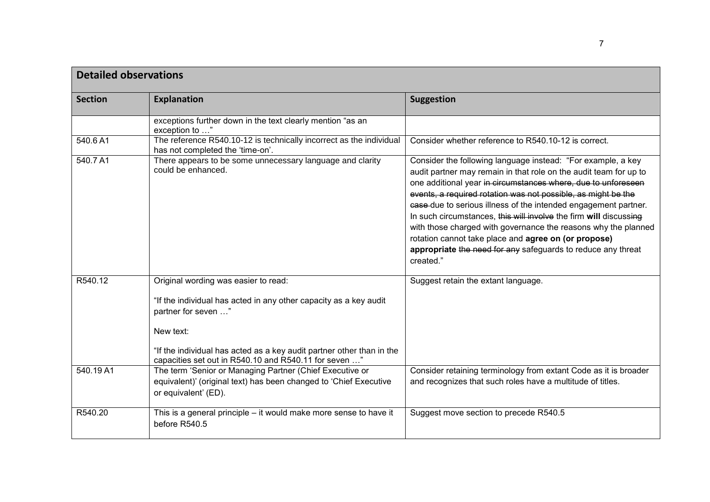| <b>Detailed observations</b> |                                                                                                                                                                                                                                                                                 |                                                                                                                                                                                                                                                                                                                                                                                                                                                                                                                                                                                                                    |
|------------------------------|---------------------------------------------------------------------------------------------------------------------------------------------------------------------------------------------------------------------------------------------------------------------------------|--------------------------------------------------------------------------------------------------------------------------------------------------------------------------------------------------------------------------------------------------------------------------------------------------------------------------------------------------------------------------------------------------------------------------------------------------------------------------------------------------------------------------------------------------------------------------------------------------------------------|
| <b>Section</b>               | <b>Explanation</b>                                                                                                                                                                                                                                                              | <b>Suggestion</b>                                                                                                                                                                                                                                                                                                                                                                                                                                                                                                                                                                                                  |
|                              | exceptions further down in the text clearly mention "as an<br>exception to "                                                                                                                                                                                                    |                                                                                                                                                                                                                                                                                                                                                                                                                                                                                                                                                                                                                    |
| 540.6A1                      | The reference R540.10-12 is technically incorrect as the individual<br>has not completed the 'time-on'.                                                                                                                                                                         | Consider whether reference to R540.10-12 is correct.                                                                                                                                                                                                                                                                                                                                                                                                                                                                                                                                                               |
| 540.7 A1                     | There appears to be some unnecessary language and clarity<br>could be enhanced.                                                                                                                                                                                                 | Consider the following language instead: "For example, a key<br>audit partner may remain in that role on the audit team for up to<br>one additional year in circumstances where, due to unforeseen<br>events, a required rotation was not possible, as might be the<br>case-due to serious illness of the intended engagement partner.<br>In such circumstances, this will involve the firm will discussing<br>with those charged with governance the reasons why the planned<br>rotation cannot take place and agree on (or propose)<br>appropriate the need for any safeguards to reduce any threat<br>created." |
| R540.12                      | Original wording was easier to read:<br>"If the individual has acted in any other capacity as a key audit<br>partner for seven "<br>New text:<br>"If the individual has acted as a key audit partner other than in the<br>capacities set out in R540.10 and R540.11 for seven " | Suggest retain the extant language.                                                                                                                                                                                                                                                                                                                                                                                                                                                                                                                                                                                |
| 540.19 A1                    | The term 'Senior or Managing Partner (Chief Executive or<br>equivalent)' (original text) has been changed to 'Chief Executive<br>or equivalent' (ED).                                                                                                                           | Consider retaining terminology from extant Code as it is broader<br>and recognizes that such roles have a multitude of titles.                                                                                                                                                                                                                                                                                                                                                                                                                                                                                     |
| R540.20                      | This is a general principle – it would make more sense to have it<br>before R540.5                                                                                                                                                                                              | Suggest move section to precede R540.5                                                                                                                                                                                                                                                                                                                                                                                                                                                                                                                                                                             |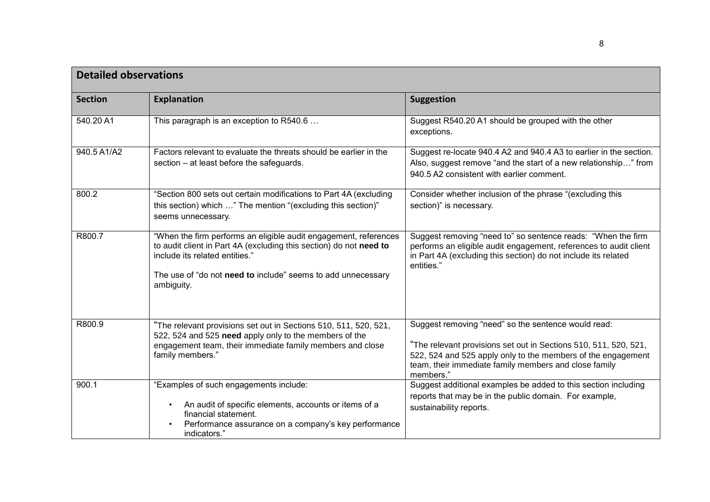| <b>Detailed observations</b> |                                                                                                                                                                                                                                                        |                                                                                                                                                                                                                                                               |
|------------------------------|--------------------------------------------------------------------------------------------------------------------------------------------------------------------------------------------------------------------------------------------------------|---------------------------------------------------------------------------------------------------------------------------------------------------------------------------------------------------------------------------------------------------------------|
| <b>Section</b>               | <b>Explanation</b>                                                                                                                                                                                                                                     | <b>Suggestion</b>                                                                                                                                                                                                                                             |
| 540.20 A1                    | This paragraph is an exception to R540.6                                                                                                                                                                                                               | Suggest R540.20 A1 should be grouped with the other<br>exceptions.                                                                                                                                                                                            |
| 940.5 A1/A2                  | Factors relevant to evaluate the threats should be earlier in the<br>section – at least before the safeguards.                                                                                                                                         | Suggest re-locate 940.4 A2 and 940.4 A3 to earlier in the section.<br>Also, suggest remove "and the start of a new relationship" from<br>940.5 A2 consistent with earlier comment.                                                                            |
| 800.2                        | "Section 800 sets out certain modifications to Part 4A (excluding<br>this section) which " The mention "(excluding this section)"<br>seems unnecessary.                                                                                                | Consider whether inclusion of the phrase "(excluding this<br>section)" is necessary.                                                                                                                                                                          |
| R800.7                       | "When the firm performs an eligible audit engagement, references<br>to audit client in Part 4A (excluding this section) do not need to<br>include its related entities."<br>The use of "do not need to include" seems to add unnecessary<br>ambiguity. | Suggest removing "need to" so sentence reads: "When the firm<br>performs an eligible audit engagement, references to audit client<br>in Part 4A (excluding this section) do not include its related<br>entities."                                             |
| R800.9                       | "The relevant provisions set out in Sections 510, 511, 520, 521,<br>522, 524 and 525 need apply only to the members of the<br>engagement team, their immediate family members and close<br>family members."                                            | Suggest removing "need" so the sentence would read:<br>"The relevant provisions set out in Sections 510, 511, 520, 521,<br>522, 524 and 525 apply only to the members of the engagement<br>team, their immediate family members and close family<br>members." |
| 900.1                        | "Examples of such engagements include:<br>An audit of specific elements, accounts or items of a<br>financial statement.<br>Performance assurance on a company's key performance<br>indicators."                                                        | Suggest additional examples be added to this section including<br>reports that may be in the public domain. For example,<br>sustainability reports.                                                                                                           |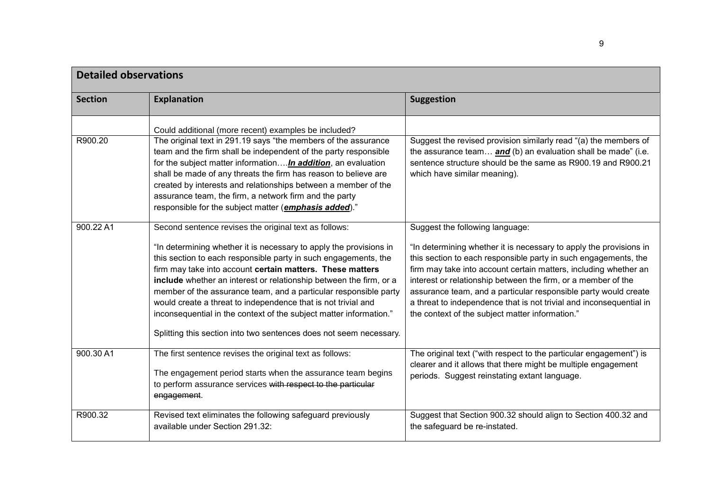| <b>Detailed observations</b> |                                                                                                                                                                                                                                                                                                                                                                                                                                                                                                                                                                                                                    |                                                                                                                                                                                                                                                                                                                                                                                                                                                                                                            |
|------------------------------|--------------------------------------------------------------------------------------------------------------------------------------------------------------------------------------------------------------------------------------------------------------------------------------------------------------------------------------------------------------------------------------------------------------------------------------------------------------------------------------------------------------------------------------------------------------------------------------------------------------------|------------------------------------------------------------------------------------------------------------------------------------------------------------------------------------------------------------------------------------------------------------------------------------------------------------------------------------------------------------------------------------------------------------------------------------------------------------------------------------------------------------|
| <b>Section</b>               | <b>Explanation</b>                                                                                                                                                                                                                                                                                                                                                                                                                                                                                                                                                                                                 | <b>Suggestion</b>                                                                                                                                                                                                                                                                                                                                                                                                                                                                                          |
| R900.20                      | Could additional (more recent) examples be included?<br>The original text in 291.19 says "the members of the assurance<br>team and the firm shall be independent of the party responsible<br>for the subject matter informationIn addition, an evaluation<br>shall be made of any threats the firm has reason to believe are<br>created by interests and relationships between a member of the<br>assurance team, the firm, a network firm and the party<br>responsible for the subject matter ( <i>emphasis added</i> )."                                                                                         | Suggest the revised provision similarly read "(a) the members of<br>the assurance team and (b) an evaluation shall be made" (i.e.<br>sentence structure should be the same as R900.19 and R900.21<br>which have similar meaning).                                                                                                                                                                                                                                                                          |
| 900.22 A1                    | Second sentence revises the original text as follows:<br>"In determining whether it is necessary to apply the provisions in<br>this section to each responsible party in such engagements, the<br>firm may take into account certain matters. These matters<br>include whether an interest or relationship between the firm, or a<br>member of the assurance team, and a particular responsible party<br>would create a threat to independence that is not trivial and<br>inconsequential in the context of the subject matter information."<br>Splitting this section into two sentences does not seem necessary. | Suggest the following language:<br>"In determining whether it is necessary to apply the provisions in<br>this section to each responsible party in such engagements, the<br>firm may take into account certain matters, including whether an<br>interest or relationship between the firm, or a member of the<br>assurance team, and a particular responsible party would create<br>a threat to independence that is not trivial and inconsequential in<br>the context of the subject matter information." |
| 900.30 A1                    | The first sentence revises the original text as follows:<br>The engagement period starts when the assurance team begins<br>to perform assurance services with respect to the particular<br>engagement.                                                                                                                                                                                                                                                                                                                                                                                                             | The original text ("with respect to the particular engagement") is<br>clearer and it allows that there might be multiple engagement<br>periods. Suggest reinstating extant language.                                                                                                                                                                                                                                                                                                                       |
| R900.32                      | Revised text eliminates the following safeguard previously<br>available under Section 291.32:                                                                                                                                                                                                                                                                                                                                                                                                                                                                                                                      | Suggest that Section 900.32 should align to Section 400.32 and<br>the safeguard be re-instated.                                                                                                                                                                                                                                                                                                                                                                                                            |

9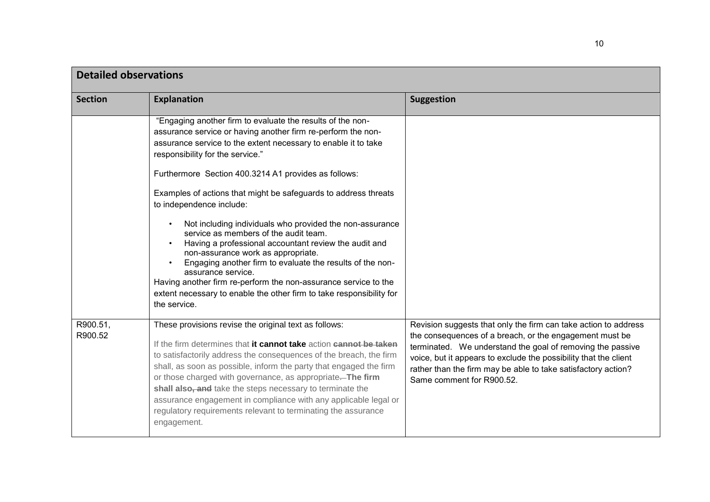| <b>Detailed observations</b> |                                                                                                                                                                                                                                                                                                                                                                                                                                                                                                                                                                                                                                                                                                                                                                                                                                           |                                                                                                                                                                                                                                                                                                                                                            |
|------------------------------|-------------------------------------------------------------------------------------------------------------------------------------------------------------------------------------------------------------------------------------------------------------------------------------------------------------------------------------------------------------------------------------------------------------------------------------------------------------------------------------------------------------------------------------------------------------------------------------------------------------------------------------------------------------------------------------------------------------------------------------------------------------------------------------------------------------------------------------------|------------------------------------------------------------------------------------------------------------------------------------------------------------------------------------------------------------------------------------------------------------------------------------------------------------------------------------------------------------|
| <b>Section</b>               | <b>Explanation</b>                                                                                                                                                                                                                                                                                                                                                                                                                                                                                                                                                                                                                                                                                                                                                                                                                        | <b>Suggestion</b>                                                                                                                                                                                                                                                                                                                                          |
|                              | "Engaging another firm to evaluate the results of the non-<br>assurance service or having another firm re-perform the non-<br>assurance service to the extent necessary to enable it to take<br>responsibility for the service."<br>Furthermore Section 400.3214 A1 provides as follows:<br>Examples of actions that might be safeguards to address threats<br>to independence include:<br>Not including individuals who provided the non-assurance<br>service as members of the audit team.<br>Having a professional accountant review the audit and<br>non-assurance work as appropriate.<br>Engaging another firm to evaluate the results of the non-<br>assurance service.<br>Having another firm re-perform the non-assurance service to the<br>extent necessary to enable the other firm to take responsibility for<br>the service. |                                                                                                                                                                                                                                                                                                                                                            |
| R900.51,<br>R900.52          | These provisions revise the original text as follows:<br>If the firm determines that it cannot take action cannot be taken<br>to satisfactorily address the consequences of the breach, the firm<br>shall, as soon as possible, inform the party that engaged the firm<br>or those charged with governance, as appropriate. The firm<br>shall also, and take the steps necessary to terminate the<br>assurance engagement in compliance with any applicable legal or<br>regulatory requirements relevant to terminating the assurance<br>engagement.                                                                                                                                                                                                                                                                                      | Revision suggests that only the firm can take action to address<br>the consequences of a breach, or the engagement must be<br>terminated. We understand the goal of removing the passive<br>voice, but it appears to exclude the possibility that the client<br>rather than the firm may be able to take satisfactory action?<br>Same comment for R900.52. |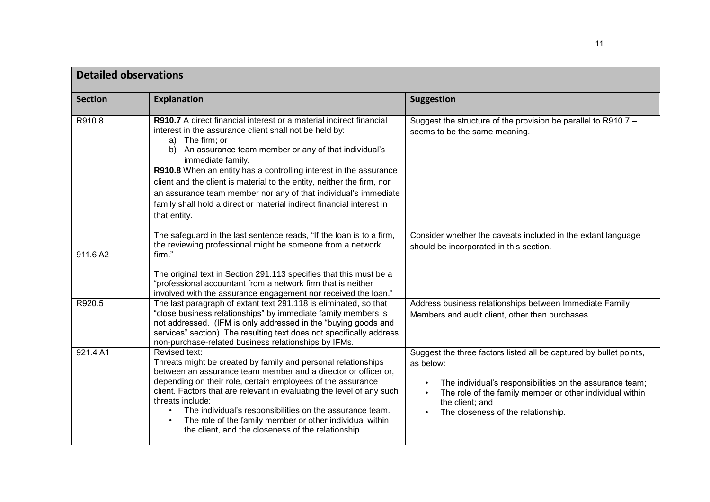| <b>Detailed observations</b> |                                                                                                                                                                                                                                                                                                                                                                                                                                                                                                                                                   |                                                                                                                                                                                                                                                                               |
|------------------------------|---------------------------------------------------------------------------------------------------------------------------------------------------------------------------------------------------------------------------------------------------------------------------------------------------------------------------------------------------------------------------------------------------------------------------------------------------------------------------------------------------------------------------------------------------|-------------------------------------------------------------------------------------------------------------------------------------------------------------------------------------------------------------------------------------------------------------------------------|
| <b>Section</b>               | <b>Explanation</b>                                                                                                                                                                                                                                                                                                                                                                                                                                                                                                                                | <b>Suggestion</b>                                                                                                                                                                                                                                                             |
| R910.8                       | R910.7 A direct financial interest or a material indirect financial<br>interest in the assurance client shall not be held by:<br>The firm; or<br>a)<br>An assurance team member or any of that individual's<br>b)<br>immediate family.<br>R910.8 When an entity has a controlling interest in the assurance<br>client and the client is material to the entity, neither the firm, nor<br>an assurance team member nor any of that individual's immediate<br>family shall hold a direct or material indirect financial interest in<br>that entity. | Suggest the structure of the provision be parallel to R910.7 -<br>seems to be the same meaning.                                                                                                                                                                               |
| 911.6 A2                     | The safeguard in the last sentence reads, "If the loan is to a firm,<br>the reviewing professional might be someone from a network<br>firm."<br>The original text in Section 291.113 specifies that this must be a<br>"professional accountant from a network firm that is neither                                                                                                                                                                                                                                                                | Consider whether the caveats included in the extant language<br>should be incorporated in this section.                                                                                                                                                                       |
| R920.5                       | involved with the assurance engagement nor received the loan."<br>The last paragraph of extant text 291.118 is eliminated, so that<br>"close business relationships" by immediate family members is<br>not addressed. (IFM is only addressed in the "buying goods and<br>services" section). The resulting text does not specifically address<br>non-purchase-related business relationships by IFMs.                                                                                                                                             | Address business relationships between Immediate Family<br>Members and audit client, other than purchases.                                                                                                                                                                    |
| 921.4 A1                     | Revised text:<br>Threats might be created by family and personal relationships<br>between an assurance team member and a director or officer or,<br>depending on their role, certain employees of the assurance<br>client. Factors that are relevant in evaluating the level of any such<br>threats include:<br>The individual's responsibilities on the assurance team.<br>The role of the family member or other individual within<br>the client, and the closeness of the relationship.                                                        | Suggest the three factors listed all be captured by bullet points,<br>as below:<br>The individual's responsibilities on the assurance team;<br>The role of the family member or other individual within<br>$\bullet$<br>the client; and<br>The closeness of the relationship. |